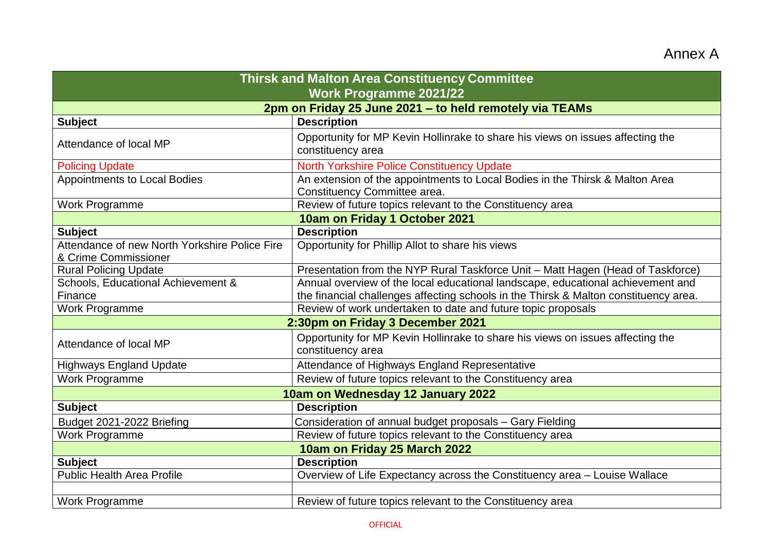## Annex A

| <b>Thirsk and Malton Area Constituency Committee</b>                  |                                                                                                              |
|-----------------------------------------------------------------------|--------------------------------------------------------------------------------------------------------------|
| <b>Work Programme 2021/22</b>                                         |                                                                                                              |
| 2pm on Friday 25 June 2021 - to held remotely via TEAMs               |                                                                                                              |
| <b>Subject</b>                                                        | <b>Description</b>                                                                                           |
| Attendance of local MP                                                | Opportunity for MP Kevin Hollinrake to share his views on issues affecting the<br>constituency area          |
| <b>Policing Update</b>                                                | <b>North Yorkshire Police Constituency Update</b>                                                            |
| <b>Appointments to Local Bodies</b>                                   | An extension of the appointments to Local Bodies in the Thirsk & Malton Area<br>Constituency Committee area. |
| <b>Work Programme</b>                                                 | Review of future topics relevant to the Constituency area                                                    |
| 10am on Friday 1 October 2021                                         |                                                                                                              |
| <b>Subject</b>                                                        | <b>Description</b>                                                                                           |
| Attendance of new North Yorkshire Police Fire<br>& Crime Commissioner | Opportunity for Phillip Allot to share his views                                                             |
| <b>Rural Policing Update</b>                                          | Presentation from the NYP Rural Taskforce Unit - Matt Hagen (Head of Taskforce)                              |
| Schools, Educational Achievement &                                    | Annual overview of the local educational landscape, educational achievement and                              |
| Finance                                                               | the financial challenges affecting schools in the Thirsk & Malton constituency area.                         |
| Work Programme                                                        | Review of work undertaken to date and future topic proposals                                                 |
| 2:30pm on Friday 3 December 2021                                      |                                                                                                              |
| Attendance of local MP                                                | Opportunity for MP Kevin Hollinrake to share his views on issues affecting the<br>constituency area          |
| <b>Highways England Update</b>                                        | Attendance of Highways England Representative                                                                |
| <b>Work Programme</b>                                                 | Review of future topics relevant to the Constituency area                                                    |
| 10am on Wednesday 12 January 2022                                     |                                                                                                              |
| <b>Subject</b>                                                        | <b>Description</b>                                                                                           |
| Budget 2021-2022 Briefing                                             | Consideration of annual budget proposals - Gary Fielding                                                     |
| Work Programme                                                        | Review of future topics relevant to the Constituency area                                                    |
| 10am on Friday 25 March 2022                                          |                                                                                                              |
| <b>Subject</b>                                                        | <b>Description</b>                                                                                           |
| <b>Public Health Area Profile</b>                                     | Overview of Life Expectancy across the Constituency area - Louise Wallace                                    |
|                                                                       |                                                                                                              |
| <b>Work Programme</b>                                                 | Review of future topics relevant to the Constituency area                                                    |